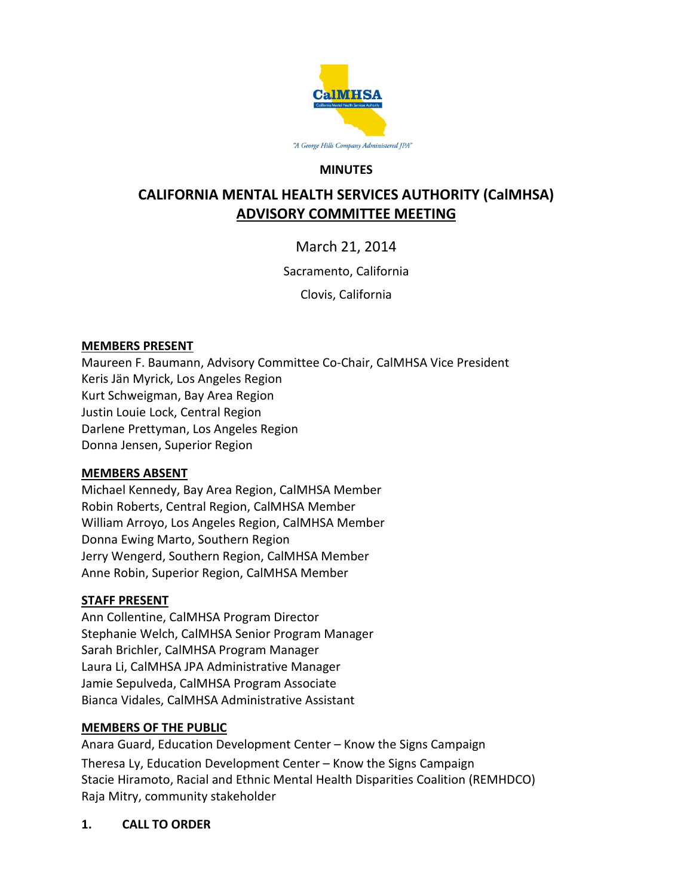

#### **MINUTES**

# **CALIFORNIA MENTAL HEALTH SERVICES AUTHORITY (CalMHSA) ADVISORY COMMITTEE MEETING**

March 21, 2014

Sacramento, California

Clovis, California

#### **MEMBERS PRESENT**

Maureen F. Baumann, Advisory Committee Co-Chair, CalMHSA Vice President Keris Jän Myrick, Los Angeles Region Kurt Schweigman, Bay Area Region Justin Louie Lock, Central Region Darlene Prettyman, Los Angeles Region Donna Jensen, Superior Region

#### **MEMBERS ABSENT**

Michael Kennedy, Bay Area Region, CalMHSA Member Robin Roberts, Central Region, CalMHSA Member William Arroyo, Los Angeles Region, CalMHSA Member Donna Ewing Marto, Southern Region Jerry Wengerd, Southern Region, CalMHSA Member Anne Robin, Superior Region, CalMHSA Member

## **STAFF PRESENT**

Ann Collentine, CalMHSA Program Director Stephanie Welch, CalMHSA Senior Program Manager Sarah Brichler, CalMHSA Program Manager Laura Li, CalMHSA JPA Administrative Manager Jamie Sepulveda, CalMHSA Program Associate Bianca Vidales, CalMHSA Administrative Assistant

## **MEMBERS OF THE PUBLIC**

Anara Guard, Education Development Center – Know the Signs Campaign Theresa Ly, Education Development Center – Know the Signs Campaign Stacie Hiramoto, Racial and Ethnic Mental Health Disparities Coalition (REMHDCO) Raja Mitry, community stakeholder

## **1. CALL TO ORDER**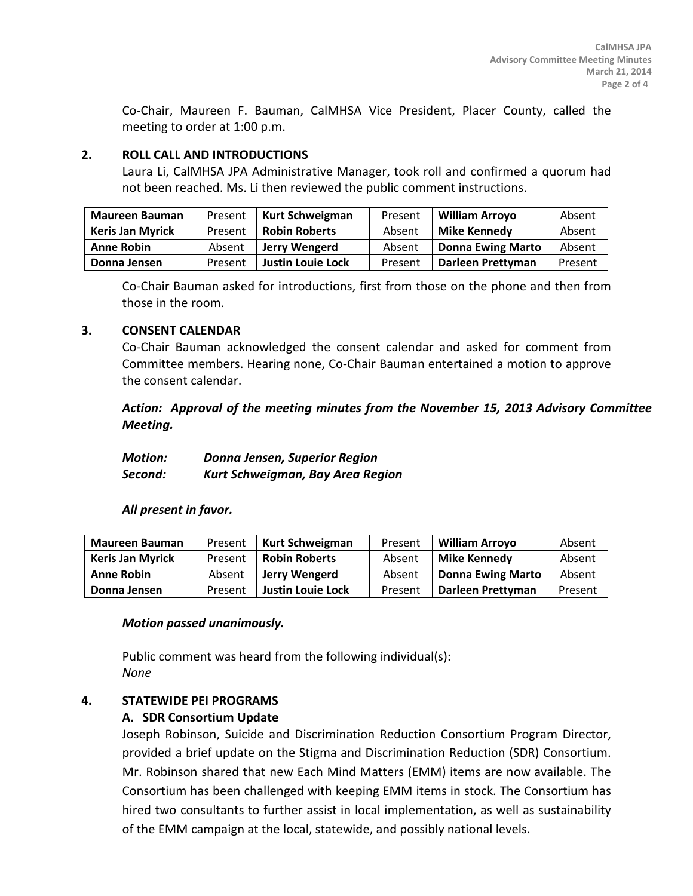Co-Chair, Maureen F. Bauman, CalMHSA Vice President, Placer County, called the meeting to order at 1:00 p.m.

#### **2. ROLL CALL AND INTRODUCTIONS**

Laura Li, CalMHSA JPA Administrative Manager, took roll and confirmed a quorum had not been reached. Ms. Li then reviewed the public comment instructions.

| <b>Maureen Bauman</b>   | Present | Kurt Schweigman          | Present | <b>William Arroyo</b>    | Absent  |
|-------------------------|---------|--------------------------|---------|--------------------------|---------|
| <b>Keris Jan Myrick</b> | Present | <b>Robin Roberts</b>     | Absent  | Mike Kennedy             | Absent  |
| <b>Anne Robin</b>       | Absent  | Jerry Wengerd            | Absent  | <b>Donna Ewing Marto</b> | Absent  |
| Donna Jensen            | Present | <b>Justin Louie Lock</b> | Present | Darleen Prettyman        | Present |

Co-Chair Bauman asked for introductions, first from those on the phone and then from those in the room.

#### **3. CONSENT CALENDAR**

Co-Chair Bauman acknowledged the consent calendar and asked for comment from Committee members. Hearing none, Co-Chair Bauman entertained a motion to approve the consent calendar.

*Action: Approval of the meeting minutes from the November 15, 2013 Advisory Committee Meeting.*

| <b>Motion:</b> | Donna Jensen, Superior Region    |  |  |  |
|----------------|----------------------------------|--|--|--|
| Second:        | Kurt Schweigman, Bay Area Region |  |  |  |

## *All present in favor.*

| <b>Maureen Bauman</b>   | Present | Kurt Schweigman          | Present | <b>William Arroyo</b>    | Absent  |
|-------------------------|---------|--------------------------|---------|--------------------------|---------|
| <b>Keris Jan Myrick</b> | Present | <b>Robin Roberts</b>     | Absent  | <b>Mike Kennedy</b>      | Absent  |
| <b>Anne Robin</b>       | Absent  | Jerry Wengerd            | Absent  | <b>Donna Ewing Marto</b> | Absent  |
| Donna Jensen            | Present | <b>Justin Louie Lock</b> | Present | Darleen Prettyman        | Present |

#### *Motion passed unanimously.*

Public comment was heard from the following individual(s): *None*

## **4. STATEWIDE PEI PROGRAMS**

#### **A. SDR Consortium Update**

Joseph Robinson, Suicide and Discrimination Reduction Consortium Program Director, provided a brief update on the Stigma and Discrimination Reduction (SDR) Consortium. Mr. Robinson shared that new Each Mind Matters (EMM) items are now available. The Consortium has been challenged with keeping EMM items in stock. The Consortium has hired two consultants to further assist in local implementation, as well as sustainability of the EMM campaign at the local, statewide, and possibly national levels.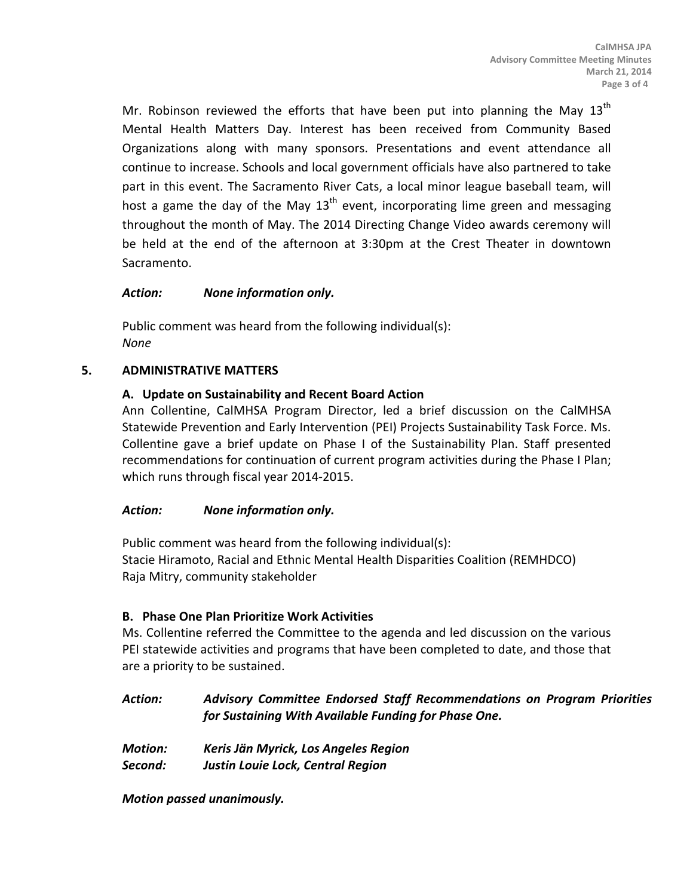Mr. Robinson reviewed the efforts that have been put into planning the May  $13<sup>th</sup>$ Mental Health Matters Day. Interest has been received from Community Based Organizations along with many sponsors. Presentations and event attendance all continue to increase. Schools and local government officials have also partnered to take part in this event. The Sacramento River Cats, a local minor league baseball team, will host a game the day of the May  $13<sup>th</sup>$  event, incorporating lime green and messaging throughout the month of May. The 2014 Directing Change Video awards ceremony will be held at the end of the afternoon at 3:30pm at the Crest Theater in downtown Sacramento.

## *Action: None information only.*

Public comment was heard from the following individual(s): *None*

## **5. ADMINISTRATIVE MATTERS**

## **A. Update on Sustainability and Recent Board Action**

Ann Collentine, CalMHSA Program Director, led a brief discussion on the CalMHSA Statewide Prevention and Early Intervention (PEI) Projects Sustainability Task Force. Ms. Collentine gave a brief update on Phase I of the Sustainability Plan. Staff presented recommendations for continuation of current program activities during the Phase I Plan; which runs through fiscal year 2014-2015.

## *Action: None information only.*

Public comment was heard from the following individual(s): Stacie Hiramoto, Racial and Ethnic Mental Health Disparities Coalition (REMHDCO) Raja Mitry, community stakeholder

## **B. Phase One Plan Prioritize Work Activities**

Ms. Collentine referred the Committee to the agenda and led discussion on the various PEI statewide activities and programs that have been completed to date, and those that are a priority to be sustained.

# *Action: Advisory Committee Endorsed Staff Recommendations on Program Priorities for Sustaining With Available Funding for Phase One.*

- *Motion: Keris Jän Myrick, Los Angeles Region*
- *Second: Justin Louie Lock, Central Region*

*Motion passed unanimously.*